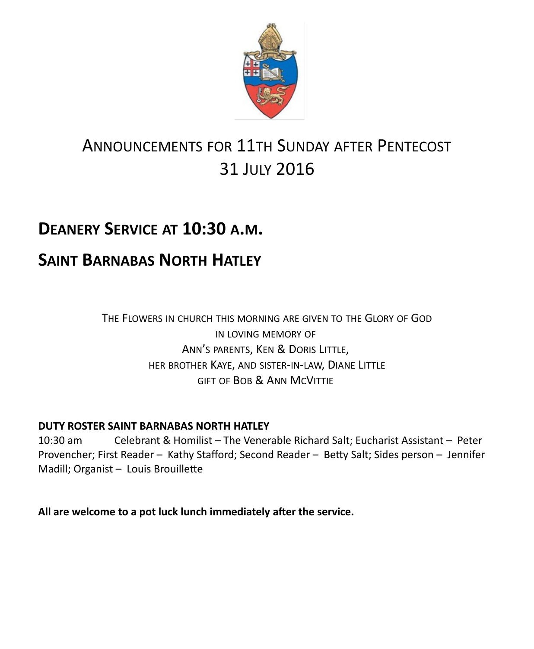

# ANNOUNCEMENTS FOR 11TH SUNDAY AFTER PENTECOST 31 JULY 2016

# **DEANERY SERVICE AT 10:30 A.M.**

## **SAINT BARNABAS NORTH HATLEY**

THE FLOWERS IN CHURCH THIS MORNING ARE GIVEN TO THE GLORY OF GOD IN LOVING MEMORY OF ANN'S PARENTS, KEN & DORIS LITTLE, HER BROTHER KAYE, AND SISTER-IN-LAW, DIANE LITTLE GIFT OF BOB & ANN MCVITTIE

#### **DUTY ROSTER SAINT BARNABAS NORTH HATLEY**

10:30 am Celebrant & Homilist – The Venerable Richard Salt; Eucharist Assistant – Peter Provencher; First Reader – Kathy Stafford; Second Reader – Betty Salt; Sides person – Jennifer Madill; Organist – Louis Brouillette

**All are welcome to a pot luck lunch immediately after the service.**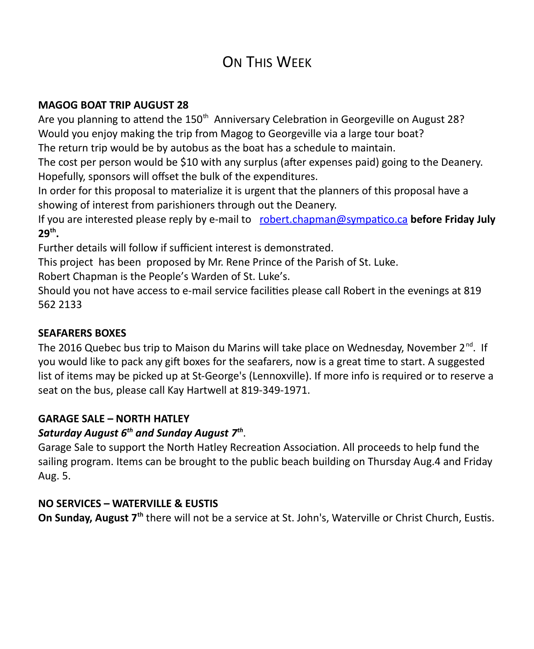## ON THIS WFFK

#### **MAGOG BOAT TRIP AUGUST 28**

Are you planning to attend the 150<sup>th</sup> Anniversary Celebration in Georgeville on August 28? Would you enjoy making the trip from Magog to Georgeville via a large tour boat?

The return trip would be by autobus as the boat has a schedule to maintain.

The cost per person would be \$10 with any surplus (after expenses paid) going to the Deanery. Hopefully, sponsors will offset the bulk of the expenditures.

In order for this proposal to materialize it is urgent that the planners of this proposal have a showing of interest from parishioners through out the Deanery.

If you are interested please reply by e-mail to [robert.chapman@sympatico.ca](mailto:robert.chapman@sympatico.ca) **before Friday July 29th .**

Further details will follow if sufficient interest is demonstrated.

This project has been proposed by Mr. Rene Prince of the Parish of St. Luke.

Robert Chapman is the People's Warden of St. Luke's.

Should you not have access to e-mail service facilities please call Robert in the evenings at 819 562 2133

#### **SEAFARERS BOXES**

The 2016 Quebec bus trip to Maison du Marins will take place on Wednesday, November 2<sup>nd</sup>. If you would like to pack any gift boxes for the seafarers, now is a great time to start. A suggested list of items may be picked up at St-George's (Lennoxville). If more info is required or to reserve a seat on the bus, please call Kay Hartwell at 819-349-1971.

#### **GARAGE SALE – NORTH HATLEY**

#### *Saturday August 6th and Sunday August 7th* .

Garage Sale to support the North Hatley Recreation Association. All proceeds to help fund the sailing program. Items can be brought to the public beach building on Thursday Aug.4 and Friday Aug. 5.

#### **NO SERVICES – WATERVILLE & EUSTIS**

**On Sunday, August 7th** there will not be a service at St. John's, Waterville or Christ Church, Eustis.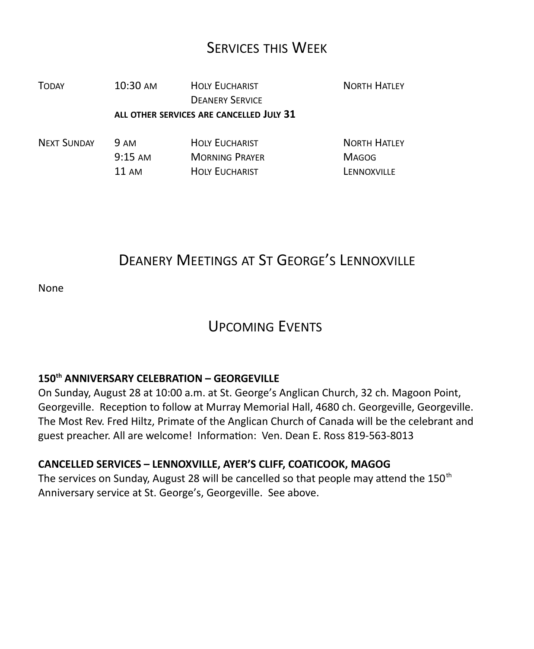### SERVICES THIS WEEK

| <b>TODAY</b>       | 10:30 AM                                 | <b>HOLY EUCHARIST</b><br><b>DEANERY SERVICE</b> | <b>NORTH HATLEY</b> |
|--------------------|------------------------------------------|-------------------------------------------------|---------------------|
|                    | ALL OTHER SERVICES ARE CANCELLED JULY 31 |                                                 |                     |
| <b>NEXT SUNDAY</b> | <b>9 AM</b>                              | <b>HOLY EUCHARIST</b>                           | <b>NORTH HATLEY</b> |
|                    | $9:15 \text{ AM}$                        | <b>MORNING PRAYER</b>                           | <b>MAGOG</b>        |

## DEANERY MEETINGS AT ST GEORGE'S LENNOXVILLE

11 AM HOLY EUCHARIST LENNOXVILLE

None

### UPCOMING EVENTS

#### **150th ANNIVERSARY CELEBRATION – GEORGEVILLE**

On Sunday, August 28 at 10:00 a.m. at St. George's Anglican Church, 32 ch. Magoon Point, Georgeville. Reception to follow at Murray Memorial Hall, 4680 ch. Georgeville, Georgeville. The Most Rev. Fred Hiltz, Primate of the Anglican Church of Canada will be the celebrant and guest preacher. All are welcome! Information: Ven. Dean E. Ross 819-563-8013

#### **CANCELLED SERVICES – LENNOXVILLE, AYER'S CLIFF, COATICOOK, MAGOG**

The services on Sunday, August 28 will be cancelled so that people may attend the  $150<sup>th</sup>$ Anniversary service at St. George's, Georgeville. See above.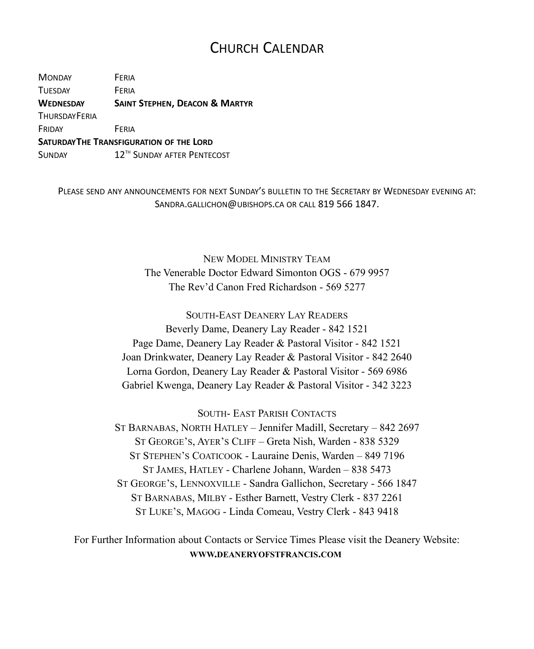### CHURCH CALENDAR

MONDAY FERIA TUESDAY **FERIA WEDNESDAY SAINT STEPHEN, DEACON & MARTYR THURSDAYFFRIA** FRIDAY FERIA **SATURDAYTHE TRANSFIGURATION OF THE LORD** SUNDAY 12<sup>TH</sup> SUNDAY AFTER PENTECOST

PLEASE SEND ANY ANNOUNCEMENTS FOR NEXT SUNDAY'S BULLETIN TO THE SECRETARY BY WEDNESDAY EVENING AT: SANDRA.GALLICHON@UBISHOPS.CA OR CALL 819 566 1847.

> NEW MODEL MINISTRY TEAM The Venerable Doctor Edward Simonton OGS - 679 9957 The Rev'd Canon Fred Richardson - 569 5277

SOUTH-EAST DEANERY LAY READERS Beverly Dame, Deanery Lay Reader - 842 1521 Page Dame, Deanery Lay Reader & Pastoral Visitor - 842 1521 Joan Drinkwater, Deanery Lay Reader & Pastoral Visitor - 842 2640 Lorna Gordon, Deanery Lay Reader & Pastoral Visitor - 569 6986 Gabriel Kwenga, Deanery Lay Reader & Pastoral Visitor - 342 3223

SOUTH- EAST PARISH CONTACTS

ST BARNABAS, NORTH HATLEY – Jennifer Madill, Secretary – 842 2697 ST GEORGE'S, AYER'S CLIFF – Greta Nish, Warden - 838 5329 ST STEPHEN'S COATICOOK - Lauraine Denis, Warden – 849 7196 ST JAMES, HATLEY - Charlene Johann, Warden – 838 5473 ST GEORGE'S, LENNOXVILLE - Sandra Gallichon, Secretary - 566 1847 ST BARNABAS, MILBY - Esther Barnett, Vestry Clerk - 837 2261 ST LUKE'S, MAGOG - Linda Comeau, Vestry Clerk - 843 9418

For Further Information about Contacts or Service Times Please visit the Deanery Website: **WWW.DEANERYOFSTFRANCIS.COM**